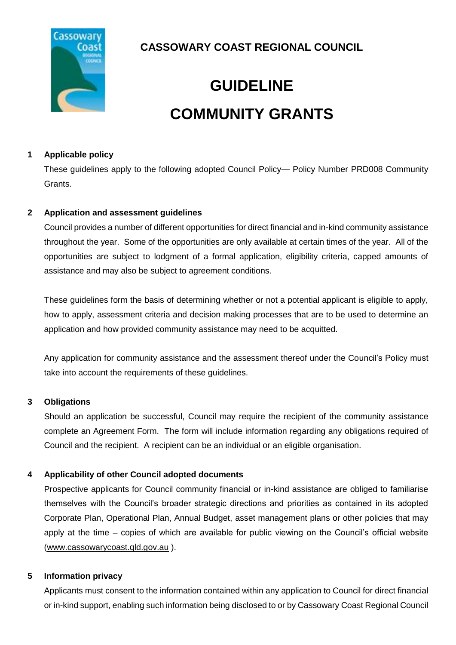

**CASSOWARY COAST REGIONAL COUNCIL**

# **GUIDELINE COMMUNITY GRANTS**

# **1 Applicable policy**

These guidelines apply to the following adopted Council Policy— Policy Number PRD008 Community Grants.

# **2 Application and assessment guidelines**

Council provides a number of different opportunities for direct financial and in-kind community assistance throughout the year. Some of the opportunities are only available at certain times of the year. All of the opportunities are subject to lodgment of a formal application, eligibility criteria, capped amounts of assistance and may also be subject to agreement conditions.

These guidelines form the basis of determining whether or not a potential applicant is eligible to apply, how to apply, assessment criteria and decision making processes that are to be used to determine an application and how provided community assistance may need to be acquitted.

Any application for community assistance and the assessment thereof under the Council's Policy must take into account the requirements of these guidelines.

### **3 Obligations**

Should an application be successful, Council may require the recipient of the community assistance complete an Agreement Form. The form will include information regarding any obligations required of Council and the recipient. A recipient can be an individual or an eligible organisation.

# **4 Applicability of other Council adopted documents**

Prospective applicants for Council community financial or in-kind assistance are obliged to familiarise themselves with the Council's broader strategic directions and priorities as contained in its adopted Corporate Plan, Operational Plan, Annual Budget, asset management plans or other policies that may apply at the time – copies of which are available for public viewing on the Council's official website [\(www.cassowarycoast.qld.gov.au](http://www.cassowarycoast.qld.gov.au/) ).

### <span id="page-0-0"></span>**5 Information privacy**

Applicants must consent to the information contained within any application to Council for direct financial or in-kind support, enabling such information being disclosed to or by Cassowary Coast Regional Council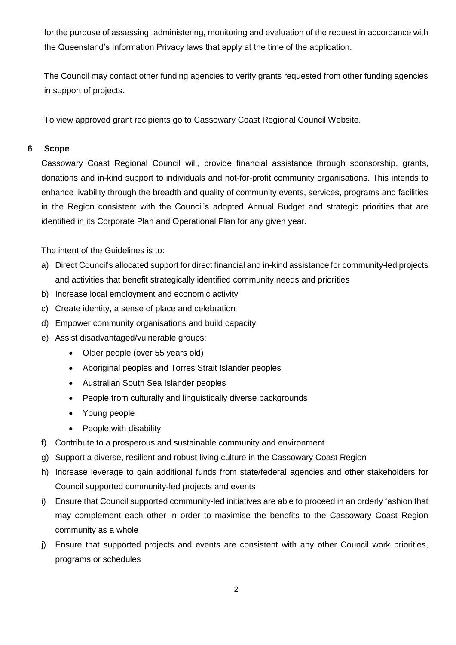for the purpose of assessing, administering, monitoring and evaluation of the request in accordance with the Queensland's Information Privacy laws that apply at the time of the application.

The Council may contact other funding agencies to verify grants requested from other funding agencies in support of projects.

To view approved grant recipients go to Cassowary Coast Regional Council Website.

### **6 Scope**

Cassowary Coast Regional Council will, provide financial assistance through sponsorship, grants, donations and in-kind support to individuals and not-for-profit community organisations. This intends to enhance livability through the breadth and quality of community events, services, programs and facilities in the Region consistent with the Council's adopted Annual Budget and strategic priorities that are identified in its Corporate Plan and Operational Plan for any given year.

The intent of the Guidelines is to:

- a) Direct Council's allocated support for direct financial and in-kind assistance for community-led projects and activities that benefit strategically identified community needs and priorities
- b) Increase local employment and economic activity
- c) Create identity, a sense of place and celebration
- d) Empower community organisations and build capacity
- e) Assist disadvantaged/vulnerable groups:
	- Older people (over 55 years old)
	- Aboriginal peoples and Torres Strait Islander peoples
	- Australian South Sea Islander peoples
	- People from culturally and linguistically diverse backgrounds
	- Young people
	- People with disability
- f) Contribute to a prosperous and sustainable community and environment
- g) Support a diverse, resilient and robust living culture in the Cassowary Coast Region
- h) Increase leverage to gain additional funds from state/federal agencies and other stakeholders for Council supported community-led projects and events
- i) Ensure that Council supported community-led initiatives are able to proceed in an orderly fashion that may complement each other in order to maximise the benefits to the Cassowary Coast Region community as a whole
- j) Ensure that supported projects and events are consistent with any other Council work priorities, programs or schedules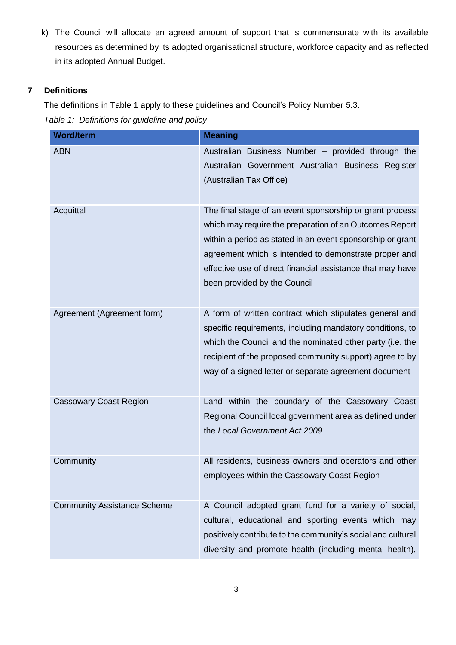k) The Council will allocate an agreed amount of support that is commensurate with its available resources as determined by its adopted organisational structure, workforce capacity and as reflected in its adopted Annual Budget.

# **7 Definitions**

The definitions in [Table 1](#page-2-0) apply to these guidelines and Council's Policy Number 5.3.

<span id="page-2-0"></span>*Table 1: Definitions for guideline and policy*

| <b>Word/term</b>                   | <b>Meaning</b>                                                                                                                                                                                                                                                                                                                           |
|------------------------------------|------------------------------------------------------------------------------------------------------------------------------------------------------------------------------------------------------------------------------------------------------------------------------------------------------------------------------------------|
| <b>ABN</b>                         | Australian Business Number - provided through the<br>Australian Government Australian Business Register<br>(Australian Tax Office)                                                                                                                                                                                                       |
| Acquittal                          | The final stage of an event sponsorship or grant process<br>which may require the preparation of an Outcomes Report<br>within a period as stated in an event sponsorship or grant<br>agreement which is intended to demonstrate proper and<br>effective use of direct financial assistance that may have<br>been provided by the Council |
| Agreement (Agreement form)         | A form of written contract which stipulates general and<br>specific requirements, including mandatory conditions, to<br>which the Council and the nominated other party (i.e. the<br>recipient of the proposed community support) agree to by<br>way of a signed letter or separate agreement document                                   |
| <b>Cassowary Coast Region</b>      | Land within the boundary of the Cassowary Coast<br>Regional Council local government area as defined under<br>the Local Government Act 2009                                                                                                                                                                                              |
| Community                          | All residents, business owners and operators and other<br>employees within the Cassowary Coast Region                                                                                                                                                                                                                                    |
| <b>Community Assistance Scheme</b> | A Council adopted grant fund for a variety of social,<br>cultural, educational and sporting events which may<br>positively contribute to the community's social and cultural<br>diversity and promote health (including mental health),                                                                                                  |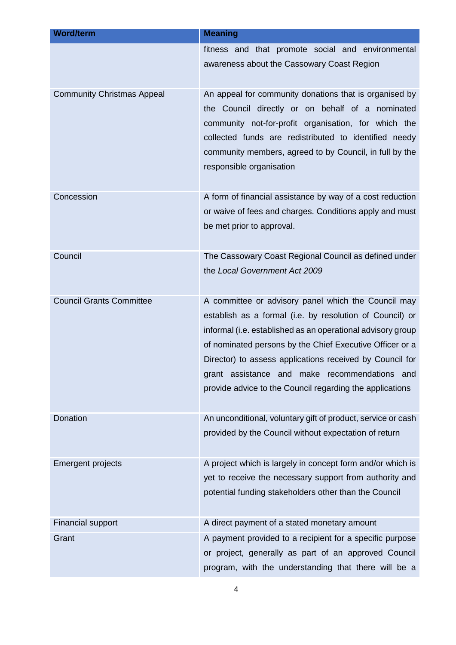| <b>Word/term</b>                  | <b>Meaning</b>                                                                                                                                                                                                                                                                                                                                                                                                         |
|-----------------------------------|------------------------------------------------------------------------------------------------------------------------------------------------------------------------------------------------------------------------------------------------------------------------------------------------------------------------------------------------------------------------------------------------------------------------|
|                                   | fitness and that promote social and environmental<br>awareness about the Cassowary Coast Region                                                                                                                                                                                                                                                                                                                        |
| <b>Community Christmas Appeal</b> | An appeal for community donations that is organised by<br>the Council directly or on behalf of a nominated<br>community not-for-profit organisation, for which the<br>collected funds are redistributed to identified needy<br>community members, agreed to by Council, in full by the<br>responsible organisation                                                                                                     |
| Concession                        | A form of financial assistance by way of a cost reduction<br>or waive of fees and charges. Conditions apply and must<br>be met prior to approval.                                                                                                                                                                                                                                                                      |
| Council                           | The Cassowary Coast Regional Council as defined under<br>the Local Government Act 2009                                                                                                                                                                                                                                                                                                                                 |
| <b>Council Grants Committee</b>   | A committee or advisory panel which the Council may<br>establish as a formal (i.e. by resolution of Council) or<br>informal (i.e. established as an operational advisory group<br>of nominated persons by the Chief Executive Officer or a<br>Director) to assess applications received by Council for<br>grant assistance and make recommendations<br>and<br>provide advice to the Council regarding the applications |
| Donation                          | An unconditional, voluntary gift of product, service or cash<br>provided by the Council without expectation of return                                                                                                                                                                                                                                                                                                  |
| <b>Emergent projects</b>          | A project which is largely in concept form and/or which is<br>yet to receive the necessary support from authority and<br>potential funding stakeholders other than the Council                                                                                                                                                                                                                                         |
| <b>Financial support</b>          | A direct payment of a stated monetary amount                                                                                                                                                                                                                                                                                                                                                                           |
| Grant                             | A payment provided to a recipient for a specific purpose<br>or project, generally as part of an approved Council<br>program, with the understanding that there will be a                                                                                                                                                                                                                                               |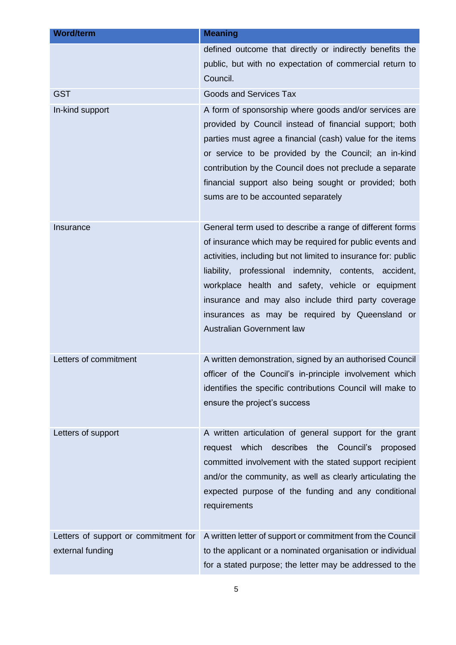| <b>Word/term</b>                     | <b>Meaning</b>                                                                                                                                                                                                                                                                                                                                                                                                                                     |
|--------------------------------------|----------------------------------------------------------------------------------------------------------------------------------------------------------------------------------------------------------------------------------------------------------------------------------------------------------------------------------------------------------------------------------------------------------------------------------------------------|
|                                      | defined outcome that directly or indirectly benefits the<br>public, but with no expectation of commercial return to<br>Council.                                                                                                                                                                                                                                                                                                                    |
| <b>GST</b>                           | <b>Goods and Services Tax</b>                                                                                                                                                                                                                                                                                                                                                                                                                      |
| In-kind support                      | A form of sponsorship where goods and/or services are<br>provided by Council instead of financial support; both<br>parties must agree a financial (cash) value for the items<br>or service to be provided by the Council; an in-kind<br>contribution by the Council does not preclude a separate<br>financial support also being sought or provided; both<br>sums are to be accounted separately                                                   |
| Insurance                            | General term used to describe a range of different forms<br>of insurance which may be required for public events and<br>activities, including but not limited to insurance for: public<br>liability, professional indemnity, contents, accident,<br>workplace health and safety, vehicle or equipment<br>insurance and may also include third party coverage<br>insurances as may be required by Queensland or<br><b>Australian Government law</b> |
| Letters of commitment                | A written demonstration, signed by an authorised Council<br>officer of the Council's in-principle involvement which<br>identifies the specific contributions Council will make to<br>ensure the project's success                                                                                                                                                                                                                                  |
| Letters of support                   | A written articulation of general support for the grant<br>request which<br>describes the Council's<br>proposed<br>committed involvement with the stated support recipient<br>and/or the community, as well as clearly articulating the<br>expected purpose of the funding and any conditional<br>requirements                                                                                                                                     |
| Letters of support or commitment for | A written letter of support or commitment from the Council                                                                                                                                                                                                                                                                                                                                                                                         |
| external funding                     | to the applicant or a nominated organisation or individual<br>for a stated purpose; the letter may be addressed to the                                                                                                                                                                                                                                                                                                                             |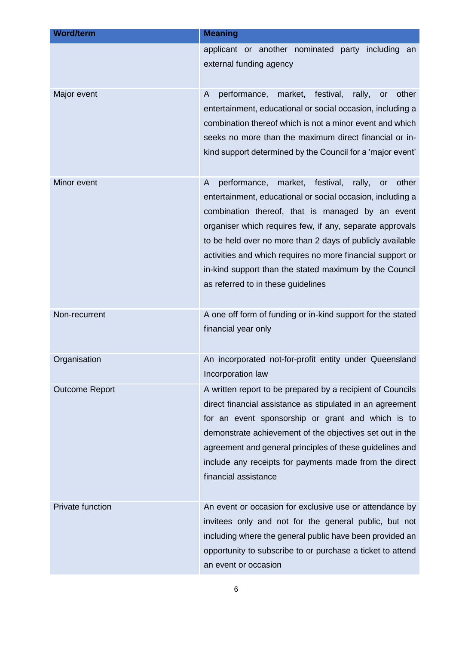| <b>Word/term</b>        | <b>Meaning</b>                                                                                                                                                                                                                                                                                                                                                                                                                                                              |
|-------------------------|-----------------------------------------------------------------------------------------------------------------------------------------------------------------------------------------------------------------------------------------------------------------------------------------------------------------------------------------------------------------------------------------------------------------------------------------------------------------------------|
|                         | applicant or another nominated party including<br>an<br>external funding agency                                                                                                                                                                                                                                                                                                                                                                                             |
| Major event             | performance,<br>market,<br>festival,<br>rally,<br>other<br>A<br><b>or</b><br>entertainment, educational or social occasion, including a<br>combination thereof which is not a minor event and which<br>seeks no more than the maximum direct financial or in-<br>kind support determined by the Council for a 'major event'                                                                                                                                                 |
| Minor event             | performance,<br>market,<br>festival,<br>rally,<br>other<br>A<br>or<br>entertainment, educational or social occasion, including a<br>combination thereof, that is managed by an event<br>organiser which requires few, if any, separate approvals<br>to be held over no more than 2 days of publicly available<br>activities and which requires no more financial support or<br>in-kind support than the stated maximum by the Council<br>as referred to in these guidelines |
| Non-recurrent           | A one off form of funding or in-kind support for the stated<br>financial year only                                                                                                                                                                                                                                                                                                                                                                                          |
| Organisation            | An incorporated not-for-profit entity under Queensland<br>Incorporation law                                                                                                                                                                                                                                                                                                                                                                                                 |
| <b>Outcome Report</b>   | A written report to be prepared by a recipient of Councils<br>direct financial assistance as stipulated in an agreement<br>for an event sponsorship or grant and which is to<br>demonstrate achievement of the objectives set out in the<br>agreement and general principles of these guidelines and<br>include any receipts for payments made from the direct<br>financial assistance                                                                                      |
| <b>Private function</b> | An event or occasion for exclusive use or attendance by<br>invitees only and not for the general public, but not<br>including where the general public have been provided an<br>opportunity to subscribe to or purchase a ticket to attend<br>an event or occasion                                                                                                                                                                                                          |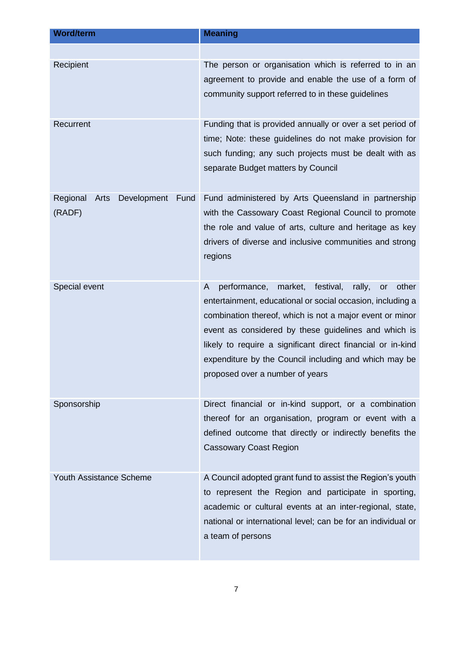| <b>Word/term</b>                                  | <b>Meaning</b>                                                                                                                                                                                                                                                                                                                                                                                                  |
|---------------------------------------------------|-----------------------------------------------------------------------------------------------------------------------------------------------------------------------------------------------------------------------------------------------------------------------------------------------------------------------------------------------------------------------------------------------------------------|
| Recipient                                         | The person or organisation which is referred to in an<br>agreement to provide and enable the use of a form of<br>community support referred to in these guidelines                                                                                                                                                                                                                                              |
| Recurrent                                         | Funding that is provided annually or over a set period of<br>time; Note: these guidelines do not make provision for<br>such funding; any such projects must be dealt with as<br>separate Budget matters by Council                                                                                                                                                                                              |
| Regional<br>Development<br>Fund<br>Arts<br>(RADF) | Fund administered by Arts Queensland in partnership<br>with the Cassowary Coast Regional Council to promote<br>the role and value of arts, culture and heritage as key<br>drivers of diverse and inclusive communities and strong<br>regions                                                                                                                                                                    |
| Special event                                     | festival,<br>A<br>performance,<br>market,<br>rally,<br>other<br>or<br>entertainment, educational or social occasion, including a<br>combination thereof, which is not a major event or minor<br>event as considered by these guidelines and which is<br>likely to require a significant direct financial or in-kind<br>expenditure by the Council including and which may be<br>proposed over a number of years |
| Sponsorship                                       | Direct financial or in-kind support, or a combination<br>thereof for an organisation, program or event with a<br>defined outcome that directly or indirectly benefits the<br><b>Cassowary Coast Region</b>                                                                                                                                                                                                      |
| <b>Youth Assistance Scheme</b>                    | A Council adopted grant fund to assist the Region's youth<br>to represent the Region and participate in sporting,<br>academic or cultural events at an inter-regional, state,<br>national or international level; can be for an individual or<br>a team of persons                                                                                                                                              |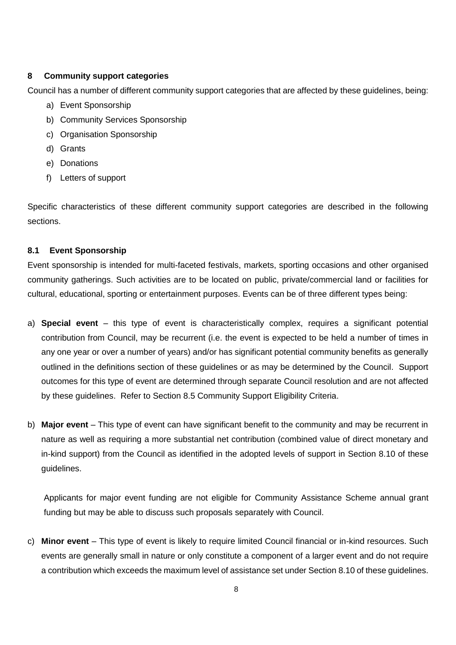# **8 Community support categories**

Council has a number of different community support categories that are affected by these guidelines, being:

- a) Event Sponsorship
- b) Community Services Sponsorship
- c) Organisation Sponsorship
- d) Grants
- e) Donations
- f) Letters of support

Specific characteristics of these different community support categories are described in the following sections.

### **8.1 Event Sponsorship**

Event sponsorship is intended for multi-faceted festivals, markets, sporting occasions and other organised community gatherings. Such activities are to be located on public, private/commercial land or facilities for cultural, educational, sporting or entertainment purposes. Events can be of three different types being:

- a) **Special event** this type of event is characteristically complex, requires a significant potential contribution from Council, may be recurrent (i.e. the event is expected to be held a number of times in any one year or over a number of years) and/or has significant potential community benefits as generally outlined in the definitions section of these guidelines or as may be determined by the Council. Support outcomes for this type of event are determined through separate Council resolution and are not affected by these guidelines. Refer to Section [8.5](#page-11-0) Community Support Eligibility Criteria.
- b) **Major event** This type of event can have significant benefit to the community and may be recurrent in nature as well as requiring a more substantial net contribution (combined value of direct monetary and in-kind support) from the Council as identified in the adopted levels of support in Section [8.10](#page-24-0) of these guidelines.

Applicants for major event funding are not eligible for Community Assistance Scheme annual grant funding but may be able to discuss such proposals separately with Council.

c) **Minor event** – This type of event is likely to require limited Council financial or in-kind resources. Such events are generally small in nature or only constitute a component of a larger event and do not require a contribution which exceeds the maximum level of assistance set under Section [8.10](#page-24-0) of these guidelines.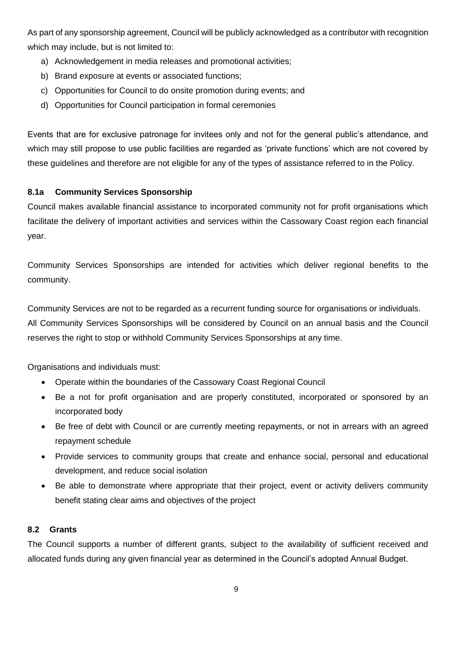As part of any sponsorship agreement, Council will be publicly acknowledged as a contributor with recognition which may include, but is not limited to:

- a) Acknowledgement in media releases and promotional activities;
- b) Brand exposure at events or associated functions;
- c) Opportunities for Council to do onsite promotion during events; and
- d) Opportunities for Council participation in formal ceremonies

Events that are for exclusive patronage for invitees only and not for the general public's attendance, and which may still propose to use public facilities are regarded as 'private functions' which are not covered by these guidelines and therefore are not eligible for any of the types of assistance referred to in the Policy.

### **8.1a Community Services Sponsorship**

Council makes available financial assistance to incorporated community not for profit organisations which facilitate the delivery of important activities and services within the Cassowary Coast region each financial year.

Community Services Sponsorships are intended for activities which deliver regional benefits to the community.

Community Services are not to be regarded as a recurrent funding source for organisations or individuals. All Community Services Sponsorships will be considered by Council on an annual basis and the Council reserves the right to stop or withhold Community Services Sponsorships at any time.

Organisations and individuals must:

- Operate within the boundaries of the Cassowary Coast Regional Council
- Be a not for profit organisation and are properly constituted, incorporated or sponsored by an incorporated body
- Be free of debt with Council or are currently meeting repayments, or not in arrears with an agreed repayment schedule
- Provide services to community groups that create and enhance social, personal and educational development, and reduce social isolation
- Be able to demonstrate where appropriate that their project, event or activity delivers community benefit stating clear aims and objectives of the project

### **8.2 Grants**

The Council supports a number of different grants, subject to the availability of sufficient received and allocated funds during any given financial year as determined in the Council's adopted Annual Budget.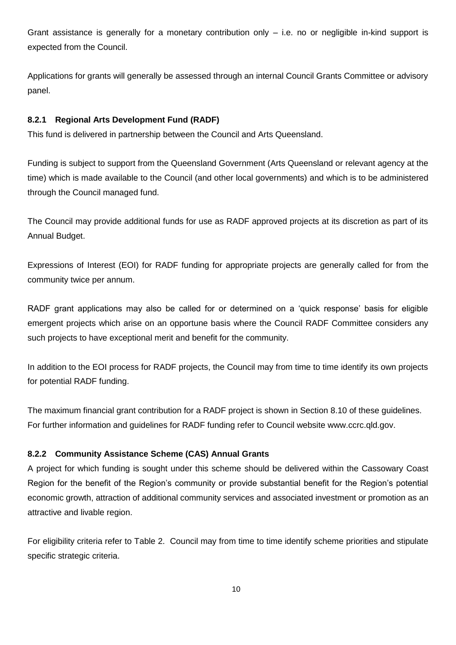Grant assistance is generally for a monetary contribution only – i.e. no or negligible in-kind support is expected from the Council.

Applications for grants will generally be assessed through an internal Council Grants Committee or advisory panel.

# **8.2.1 Regional Arts Development Fund (RADF)**

This fund is delivered in partnership between the Council and Arts Queensland.

Funding is subject to support from the Queensland Government (Arts Queensland or relevant agency at the time) which is made available to the Council (and other local governments) and which is to be administered through the Council managed fund.

The Council may provide additional funds for use as RADF approved projects at its discretion as part of its Annual Budget.

Expressions of Interest (EOI) for RADF funding for appropriate projects are generally called for from the community twice per annum.

RADF grant applications may also be called for or determined on a 'quick response' basis for eligible emergent projects which arise on an opportune basis where the Council RADF Committee considers any such projects to have exceptional merit and benefit for the community.

In addition to the EOI process for RADF projects, the Council may from time to time identify its own projects for potential RADF funding.

The maximum financial grant contribution for a RADF project is shown in Section [8.10](#page-24-0) of these guidelines. For further information and guidelines for RADF funding refer to Council website www.ccrc.qld.gov.

### **8.2.2 Community Assistance Scheme (CAS) Annual Grants**

A project for which funding is sought under this scheme should be delivered within the Cassowary Coast Region for the benefit of the Region's community or provide substantial benefit for the Region's potential economic growth, attraction of additional community services and associated investment or promotion as an attractive and livable region.

For eligibility criteria refer to [Table 2.](#page-13-0) Council may from time to time identify scheme priorities and stipulate specific strategic criteria.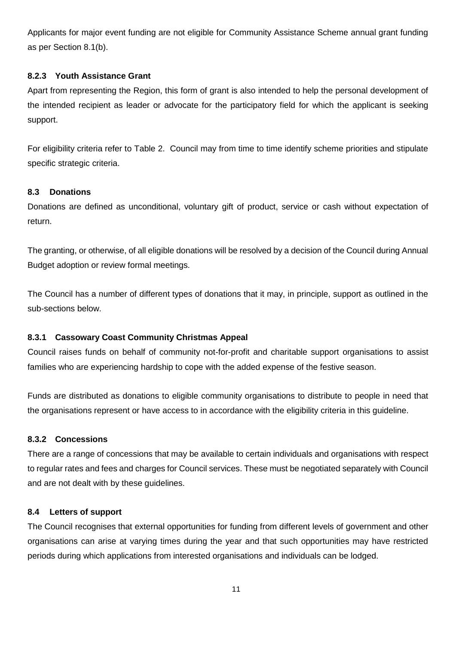Applicants for major event funding are not eligible for Community Assistance Scheme annual grant funding as per Section 8.1(b).

### **8.2.3 Youth Assistance Grant**

Apart from representing the Region, this form of grant is also intended to help the personal development of the intended recipient as leader or advocate for the participatory field for which the applicant is seeking support.

For eligibility criteria refer to [Table 2.](#page-13-0) Council may from time to time identify scheme priorities and stipulate specific strategic criteria.

### **8.3 Donations**

Donations are defined as unconditional, voluntary gift of product, service or cash without expectation of return.

The granting, or otherwise, of all eligible donations will be resolved by a decision of the Council during Annual Budget adoption or review formal meetings.

The Council has a number of different types of donations that it may, in principle, support as outlined in the sub-sections below.

### **8.3.1 Cassowary Coast Community Christmas Appeal**

Council raises funds on behalf of community not-for-profit and charitable support organisations to assist families who are experiencing hardship to cope with the added expense of the festive season.

Funds are distributed as donations to eligible community organisations to distribute to people in need that the organisations represent or have access to in accordance with the eligibility criteria in this guideline.

#### **8.3.2 Concessions**

There are a range of concessions that may be available to certain individuals and organisations with respect to regular rates and fees and charges for Council services. These must be negotiated separately with Council and are not dealt with by these guidelines.

### **8.4 Letters of support**

The Council recognises that external opportunities for funding from different levels of government and other organisations can arise at varying times during the year and that such opportunities may have restricted periods during which applications from interested organisations and individuals can be lodged.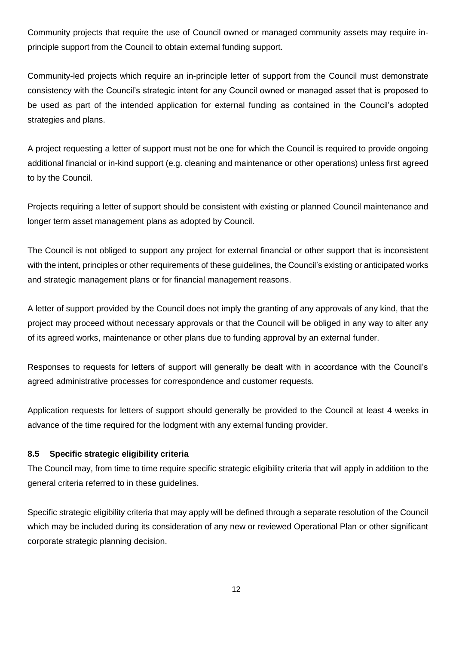Community projects that require the use of Council owned or managed community assets may require inprinciple support from the Council to obtain external funding support.

Community-led projects which require an in-principle letter of support from the Council must demonstrate consistency with the Council's strategic intent for any Council owned or managed asset that is proposed to be used as part of the intended application for external funding as contained in the Council's adopted strategies and plans.

A project requesting a letter of support must not be one for which the Council is required to provide ongoing additional financial or in-kind support (e.g. cleaning and maintenance or other operations) unless first agreed to by the Council.

Projects requiring a letter of support should be consistent with existing or planned Council maintenance and longer term asset management plans as adopted by Council.

The Council is not obliged to support any project for external financial or other support that is inconsistent with the intent, principles or other requirements of these guidelines, the Council's existing or anticipated works and strategic management plans or for financial management reasons.

A letter of support provided by the Council does not imply the granting of any approvals of any kind, that the project may proceed without necessary approvals or that the Council will be obliged in any way to alter any of its agreed works, maintenance or other plans due to funding approval by an external funder.

Responses to requests for letters of support will generally be dealt with in accordance with the Council's agreed administrative processes for correspondence and customer requests.

Application requests for letters of support should generally be provided to the Council at least 4 weeks in advance of the time required for the lodgment with any external funding provider.

### <span id="page-11-0"></span>**8.5 Specific strategic eligibility criteria**

The Council may, from time to time require specific strategic eligibility criteria that will apply in addition to the general criteria referred to in these guidelines.

Specific strategic eligibility criteria that may apply will be defined through a separate resolution of the Council which may be included during its consideration of any new or reviewed Operational Plan or other significant corporate strategic planning decision.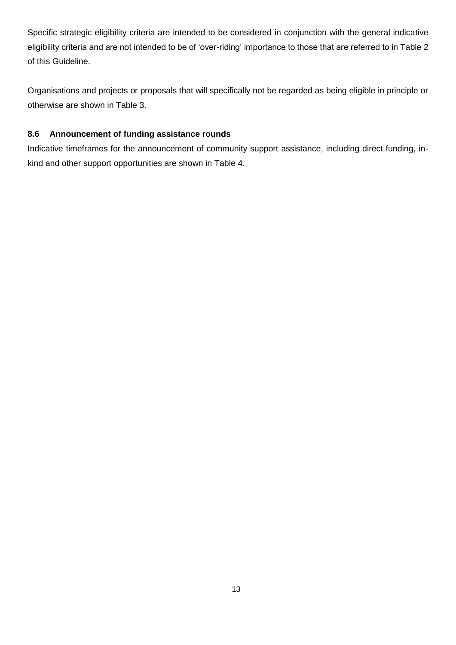Specific strategic eligibility criteria are intended to be considered in conjunction with the general indicative eligibility criteria and are not intended to be of 'over-riding' importance to those that are referred to in [Table 2](#page-13-0) of this Guideline.

Organisations and projects or proposals that will specifically not be regarded as being eligible in principle or otherwise are shown in [Table 3.](#page-19-0)

# **8.6 Announcement of funding assistance rounds**

Indicative timeframes for the announcement of community support assistance, including direct funding, inkind and other support opportunities are shown in [Table 4.](#page-21-0)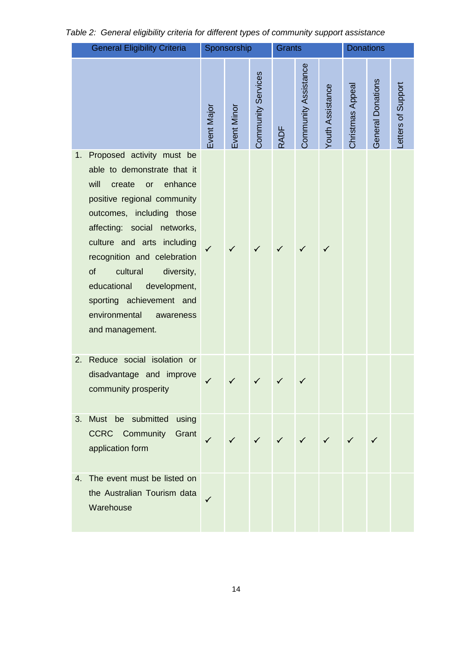|    | <b>General Eligibility Criteria</b>                                                                                                                                                                                                                                                                                                                                                             |              | Sponsorship  |                    | <b>Grants</b> |                                                                               |                  | <b>Donations</b> |                   |                    |
|----|-------------------------------------------------------------------------------------------------------------------------------------------------------------------------------------------------------------------------------------------------------------------------------------------------------------------------------------------------------------------------------------------------|--------------|--------------|--------------------|---------------|-------------------------------------------------------------------------------|------------------|------------------|-------------------|--------------------|
|    |                                                                                                                                                                                                                                                                                                                                                                                                 | Event Major  | Event Minor  | Community Services | <b>RADF</b>   | Community Assistance                                                          | Youth Assistance | Christmas Appeal | General Donations | Letters of Support |
| 1. | Proposed activity must be<br>able to demonstrate that it<br>will<br>enhance<br>create<br>or<br>positive regional community<br>outcomes, including those<br>affecting: social networks,<br>culture and arts including<br>recognition and celebration<br>of<br>cultural<br>diversity,<br>educational<br>development,<br>sporting achievement and<br>environmental<br>awareness<br>and management. |              | ✓            |                    |               |                                                                               |                  |                  |                   |                    |
| 2. | Reduce social isolation or<br>disadvantage and improve<br>community prosperity                                                                                                                                                                                                                                                                                                                  |              | $\checkmark$ | $\checkmark$       | $\checkmark$  |                                                                               |                  |                  |                   |                    |
| 3. | Must be submitted<br>using<br><b>Community Grant</b><br><b>CCRC</b><br>application form                                                                                                                                                                                                                                                                                                         | $\checkmark$ |              |                    |               | $\checkmark$ $\checkmark$ $\checkmark$ $\checkmark$ $\checkmark$ $\checkmark$ |                  |                  | $\checkmark$      |                    |
| 4. | The event must be listed on<br>the Australian Tourism data<br>Warehouse                                                                                                                                                                                                                                                                                                                         |              |              |                    |               |                                                                               |                  |                  |                   |                    |

# <span id="page-13-0"></span>*Table 2: General eligibility criteria for different types of community support assistance*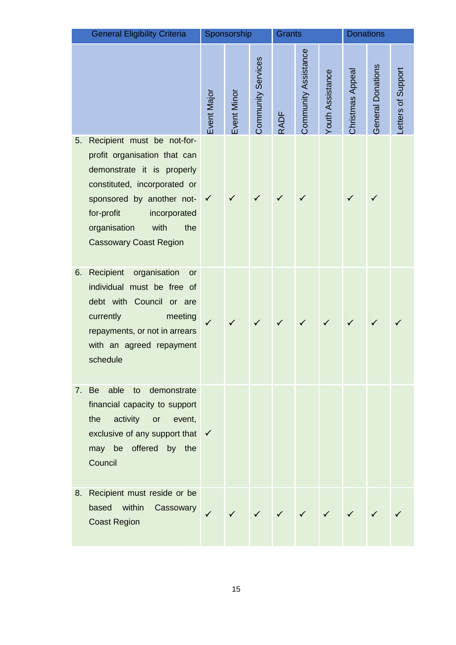|    | <b>General Eligibility Criteria</b>                                                                                                                                                                                                                 |              | Sponsorship  |                    | <b>Grants</b> |                      | <b>Donations</b>          |                 |                   |                    |
|----|-----------------------------------------------------------------------------------------------------------------------------------------------------------------------------------------------------------------------------------------------------|--------------|--------------|--------------------|---------------|----------------------|---------------------------|-----------------|-------------------|--------------------|
|    |                                                                                                                                                                                                                                                     | Event Major  | Event Minor  | Community Services | <b>RADF</b>   | Community Assistance | Youth Assistance          | Christmas Appea | General Donations | Letters of Support |
| 5. | Recipient must be not-for-<br>profit organisation that can<br>demonstrate it is properly<br>constituted, incorporated or<br>sponsored by another not-<br>for-profit<br>incorporated<br>organisation<br>with<br>the<br><b>Cassowary Coast Region</b> | $\checkmark$ |              |                    |               |                      |                           |                 |                   |                    |
| 6. | Recipient<br>organisation<br>or<br>individual must be free of<br>debt with Council or are<br>currently<br>meeting<br>repayments, or not in arrears<br>with an agreed repayment<br>schedule                                                          |              |              |                    |               |                      |                           |                 |                   |                    |
|    | able to demonstrate<br>7. Be<br>financial capacity to support<br>activity or<br>the<br>event,<br>exclusive of any support that √<br>may be offered by the<br>Council                                                                                |              |              |                    |               |                      |                           |                 |                   |                    |
| 8. | Recipient must reside or be<br>within<br>based<br>Cassowary<br><b>Coast Region</b>                                                                                                                                                                  | $\checkmark$ | $\checkmark$ |                    | $\checkmark$  |                      | $\checkmark$ $\checkmark$ |                 |                   |                    |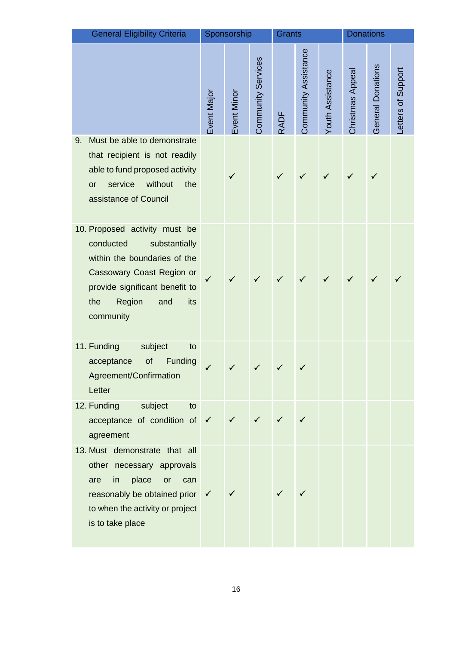|    | <b>General Eligibility Criteria</b>                                                                                                                                                                    |             | Sponsorship  |                    | Grants       |                      | <b>Donations</b> |                 |                   |                    |
|----|--------------------------------------------------------------------------------------------------------------------------------------------------------------------------------------------------------|-------------|--------------|--------------------|--------------|----------------------|------------------|-----------------|-------------------|--------------------|
|    |                                                                                                                                                                                                        | Event Major | Event Minor  | Community Services | <b>RADF</b>  | Community Assistance | Youth Assistance | Christmas Appea | General Donations | Letters of Support |
| 9. | Must be able to demonstrate<br>that recipient is not readily<br>able to fund proposed activity<br>service<br>without<br>the<br><b>or</b><br>assistance of Council                                      |             | ✓            |                    | $\checkmark$ |                      |                  |                 | $\checkmark$      |                    |
|    | 10. Proposed activity must be<br>conducted<br>substantially<br>within the boundaries of the<br>Cassowary Coast Region or<br>provide significant benefit to<br>Region<br>the<br>and<br>its<br>community | ✓           |              |                    |              |                      |                  |                 |                   |                    |
|    | 11. Funding<br>subject<br>to<br>of<br>Funding<br>acceptance<br>Agreement/Confirmation<br>Letter                                                                                                        |             |              |                    | $\checkmark$ |                      |                  |                 |                   |                    |
|    | 12. Funding<br>subject<br>to<br>acceptance of condition of $\checkmark$<br>agreement                                                                                                                   |             | $\checkmark$ | $\checkmark$       | $\checkmark$ |                      |                  |                 |                   |                    |
|    | 13. Must demonstrate that all<br>other necessary approvals<br>place<br>are<br>in<br>or<br>can<br>reasonably be obtained prior $\checkmark$<br>to when the activity or project<br>is to take place      |             | $\checkmark$ |                    |              |                      |                  |                 |                   |                    |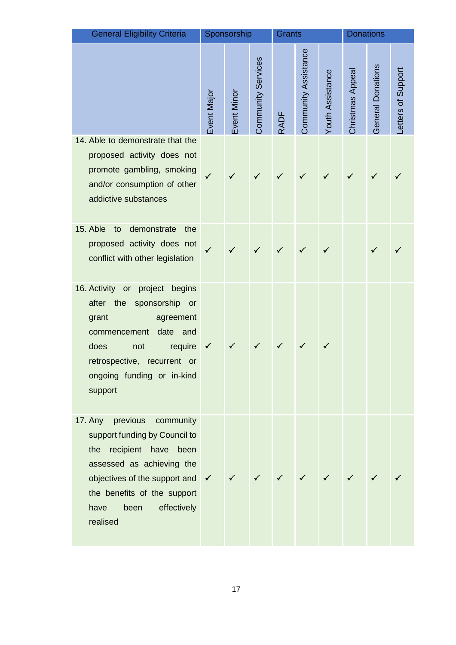| <b>General Eligibility Criteria</b>                                                                                                                                                                                                               |             | Sponsorship |                    | <b>Grants</b> |                      |                         | <b>Donations</b> |                   |                   |
|---------------------------------------------------------------------------------------------------------------------------------------------------------------------------------------------------------------------------------------------------|-------------|-------------|--------------------|---------------|----------------------|-------------------------|------------------|-------------------|-------------------|
|                                                                                                                                                                                                                                                   | Event Major | Event Minor | Community Services | <b>RADF</b>   | Community Assistance | <b>Youth Assistance</b> | Christmas Appeal | General Donations | etters of Support |
| 14. Able to demonstrate that the<br>proposed activity does not<br>promote gambling, smoking<br>and/or consumption of other<br>addictive substances                                                                                                | ✓           |             |                    |               |                      |                         |                  |                   |                   |
| 15. Able<br>to<br>demonstrate<br>the<br>proposed activity does not<br>conflict with other legislation                                                                                                                                             |             |             |                    |               |                      |                         |                  |                   |                   |
| 16. Activity or project begins<br>after the<br>sponsorship or<br>agreement<br>grant<br>date<br>and<br>commencement<br>require<br>does<br>not<br>retrospective, recurrent or<br>ongoing funding or in-kind<br>support                              |             |             |                    |               |                      |                         |                  |                   |                   |
| 17. Any<br>previous<br>community<br>support funding by Council to<br>the recipient have been<br>assessed as achieving the<br>objectives of the support and $\checkmark$<br>the benefits of the support<br>have<br>been<br>effectively<br>realised |             |             |                    |               |                      |                         |                  |                   |                   |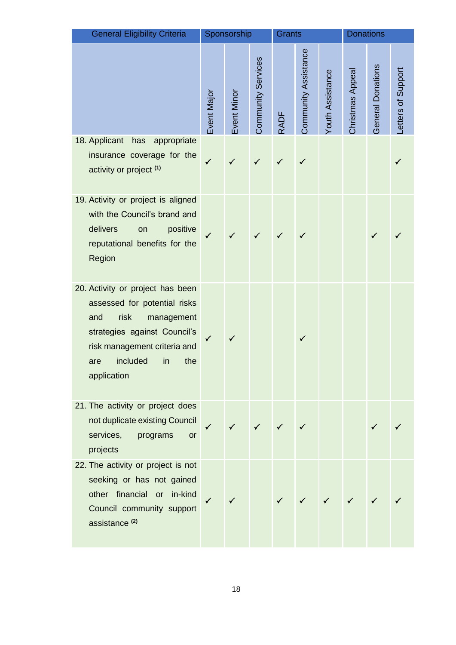| <b>General Eligibility Criteria</b>                                                                                                                                                                          |             | Sponsorship |                    | <b>Grants</b> |                      |                  | <b>Donations</b> |                   |                   |
|--------------------------------------------------------------------------------------------------------------------------------------------------------------------------------------------------------------|-------------|-------------|--------------------|---------------|----------------------|------------------|------------------|-------------------|-------------------|
|                                                                                                                                                                                                              | Event Major | Event Minor | Community Services | <b>RADF</b>   | Community Assistance | Youth Assistance | Christmas Appeal | General Donations | etters of Support |
| 18. Applicant<br>has<br>appropriate<br>insurance coverage for the<br>activity or project <sup>(1)</sup>                                                                                                      |             |             |                    |               |                      |                  |                  |                   |                   |
| 19. Activity or project is aligned<br>with the Council's brand and<br>delivers<br>positive<br>on<br>reputational benefits for the<br>Region                                                                  |             |             |                    |               |                      |                  |                  | ✓                 |                   |
| 20. Activity or project has been<br>assessed for potential risks<br>and<br>risk<br>management<br>strategies against Council's<br>risk management criteria and<br>included<br>in<br>the<br>are<br>application |             |             |                    |               | $\checkmark$         |                  |                  |                   |                   |
| 21. The activity or project does<br>not duplicate existing Council<br>services,<br>programs<br><b>or</b><br>projects                                                                                         |             |             |                    |               |                      |                  |                  |                   |                   |
| 22. The activity or project is not<br>seeking or has not gained<br>other financial or in-kind<br>Council community support<br>assistance <sup>(2)</sup>                                                      |             |             |                    |               |                      |                  |                  |                   |                   |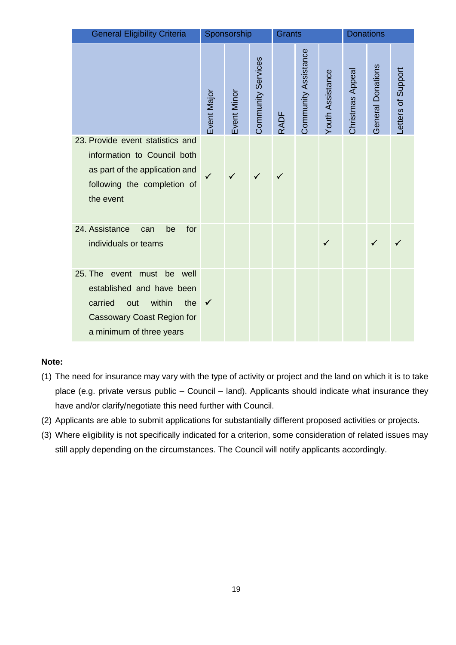| <b>General Eligibility Criteria</b>                                                                                                                            |              | Sponsorship |                    | <b>Grants</b> |                      |                         | <b>Donations</b>        |                   |                    |
|----------------------------------------------------------------------------------------------------------------------------------------------------------------|--------------|-------------|--------------------|---------------|----------------------|-------------------------|-------------------------|-------------------|--------------------|
|                                                                                                                                                                | Event Major  | Event Minor | Community Services | <b>RADF</b>   | Community Assistance | <b>Youth Assistance</b> | <b>Christmas Appeal</b> | General Donations | Letters of Support |
| 23. Provide event statistics and<br>information to Council both<br>as part of the application and<br>following the completion of<br>the event                  | ✓            | ✓           |                    | ✓             |                      |                         |                         |                   |                    |
| 24. Assistance<br>for<br>be<br>can<br>individuals or teams                                                                                                     |              |             |                    |               |                      | $\checkmark$            |                         | ✓                 |                    |
| 25. The event<br>must be well<br>established and have been<br>within<br>carried<br>the<br>out<br><b>Cassowary Coast Region for</b><br>a minimum of three years | $\checkmark$ |             |                    |               |                      |                         |                         |                   |                    |

# **Note:**

- (1) The need for insurance may vary with the type of activity or project and the land on which it is to take place (e.g. private versus public – Council – land). Applicants should indicate what insurance they have and/or clarify/negotiate this need further with Council.
- (2) Applicants are able to submit applications for substantially different proposed activities or projects.
- (3) Where eligibility is not specifically indicated for a criterion, some consideration of related issues may still apply depending on the circumstances. The Council will notify applicants accordingly.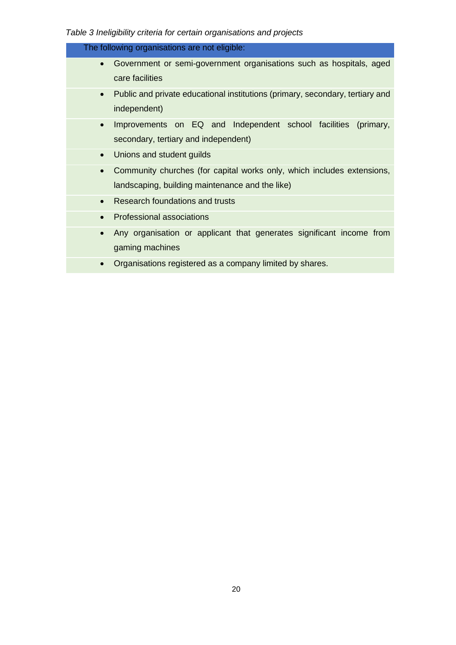# <span id="page-19-0"></span>*Table 3 Ineligibility criteria for certain organisations and projects*

| The following organisations are not eligible:                                                                                          |
|----------------------------------------------------------------------------------------------------------------------------------------|
| Government or semi-government organisations such as hospitals, aged<br>$\bullet$<br>care facilities                                    |
| Public and private educational institutions (primary, secondary, tertiary and<br>$\bullet$<br>independent)                             |
| Improvements on EQ and Independent school facilities<br>(primary,<br>$\bullet$<br>secondary, tertiary and independent)                 |
| Unions and student guilds<br>$\bullet$                                                                                                 |
| Community churches (for capital works only, which includes extensions,<br>$\bullet$<br>landscaping, building maintenance and the like) |
| Research foundations and trusts<br>$\bullet$                                                                                           |
| <b>Professional associations</b><br>$\bullet$                                                                                          |
| Any organisation or applicant that generates significant income from<br>$\bullet$<br>gaming machines                                   |
| Organisations registered as a company limited by shares.<br>$\bullet$                                                                  |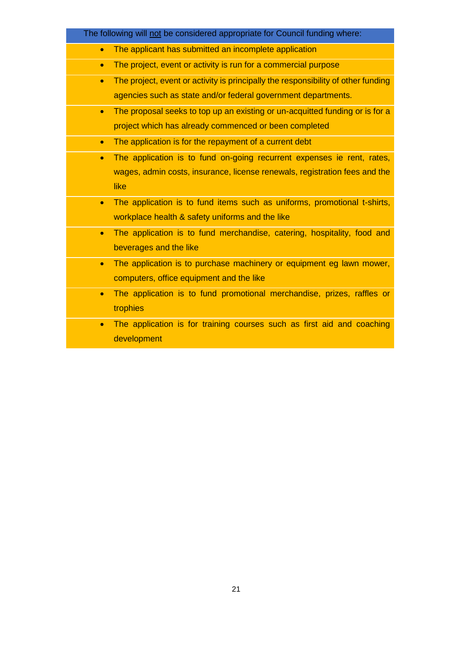|           | The following will not be considered appropriate for Council funding where:       |
|-----------|-----------------------------------------------------------------------------------|
| $\bullet$ | The applicant has submitted an incomplete application                             |
| $\bullet$ | The project, event or activity is run for a commercial purpose                    |
| $\bullet$ | The project, event or activity is principally the responsibility of other funding |
|           | agencies such as state and/or federal government departments.                     |
| $\bullet$ | The proposal seeks to top up an existing or un-acquitted funding or is for a      |
|           | project which has already commenced or been completed                             |
| $\bullet$ | The application is for the repayment of a current debt                            |
| $\bullet$ | The application is to fund on-going recurrent expenses ie rent, rates,            |
|           | wages, admin costs, insurance, license renewals, registration fees and the        |
|           | like                                                                              |
| $\bullet$ | The application is to fund items such as uniforms, promotional t-shirts,          |
|           | workplace health & safety uniforms and the like                                   |
| $\bullet$ | The application is to fund merchandise, catering, hospitality, food and           |
|           | beverages and the like                                                            |
| $\bullet$ | The application is to purchase machinery or equipment eg lawn mower,              |
|           | computers, office equipment and the like                                          |
| $\bullet$ | The application is to fund promotional merchandise, prizes, raffles or            |
|           | trophies                                                                          |
| $\bullet$ | The application is for training courses such as first aid and coaching            |
|           | development                                                                       |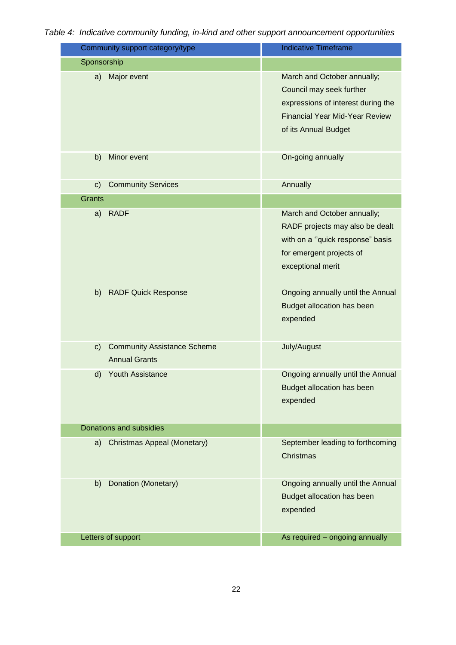<span id="page-21-0"></span>

| Table 4: Indicative community funding, in-kind and other support announcement opportunities |  |  |  |
|---------------------------------------------------------------------------------------------|--|--|--|
|                                                                                             |  |  |  |

| Community support category/type                                              | <b>Indicative Timeframe</b>                                                                                                                                    |  |
|------------------------------------------------------------------------------|----------------------------------------------------------------------------------------------------------------------------------------------------------------|--|
| Sponsorship                                                                  |                                                                                                                                                                |  |
| Major event<br>a)                                                            | March and October annually;<br>Council may seek further<br>expressions of interest during the<br><b>Financial Year Mid-Year Review</b><br>of its Annual Budget |  |
| Minor event<br>b)                                                            | On-going annually                                                                                                                                              |  |
| <b>Community Services</b><br>$\mathsf{c}$ )                                  | Annually                                                                                                                                                       |  |
| <b>Grants</b>                                                                |                                                                                                                                                                |  |
| <b>RADF</b><br>a)                                                            | March and October annually;<br>RADF projects may also be dealt<br>with on a "quick response" basis<br>for emergent projects of<br>exceptional merit            |  |
| b)<br><b>RADF Quick Response</b>                                             | Ongoing annually until the Annual<br>Budget allocation has been<br>expended                                                                                    |  |
| <b>Community Assistance Scheme</b><br>$\mathsf{c}$ )<br><b>Annual Grants</b> | July/August                                                                                                                                                    |  |
| Youth Assistance<br>d)                                                       | Ongoing annually until the Annual<br><b>Budget allocation has been</b><br>expended                                                                             |  |
| Donations and subsidies                                                      |                                                                                                                                                                |  |
| Christmas Appeal (Monetary)<br>a)                                            | September leading to forthcoming<br>Christmas                                                                                                                  |  |
| Donation (Monetary)<br>b)                                                    | Ongoing annually until the Annual<br>Budget allocation has been<br>expended                                                                                    |  |
| Letters of support                                                           | As required - ongoing annually                                                                                                                                 |  |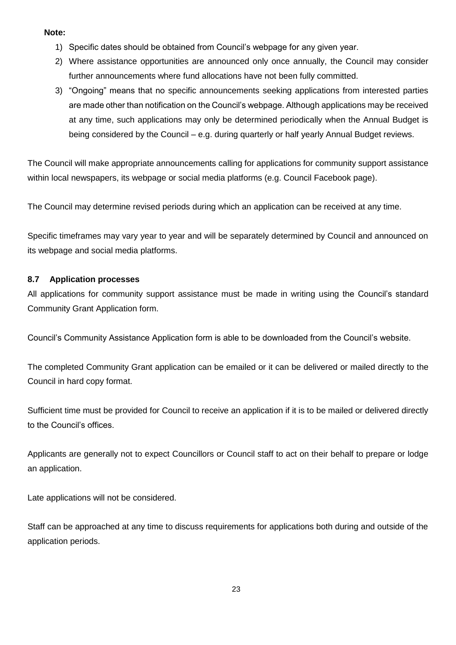### **Note:**

- 1) Specific dates should be obtained from Council's webpage for any given year.
- 2) Where assistance opportunities are announced only once annually, the Council may consider further announcements where fund allocations have not been fully committed.
- 3) "Ongoing" means that no specific announcements seeking applications from interested parties are made other than notification on the Council's webpage. Although applications may be received at any time, such applications may only be determined periodically when the Annual Budget is being considered by the Council – e.g. during quarterly or half yearly Annual Budget reviews.

The Council will make appropriate announcements calling for applications for community support assistance within local newspapers, its webpage or social media platforms (e.g. Council Facebook page).

The Council may determine revised periods during which an application can be received at any time.

Specific timeframes may vary year to year and will be separately determined by Council and announced on its webpage and social media platforms.

### **8.7 Application processes**

All applications for community support assistance must be made in writing using the Council's standard Community Grant Application form.

Council's Community Assistance Application form is able to be downloaded from the Council's website.

The completed Community Grant application can be emailed or it can be delivered or mailed directly to the Council in hard copy format.

Sufficient time must be provided for Council to receive an application if it is to be mailed or delivered directly to the Council's offices.

Applicants are generally not to expect Councillors or Council staff to act on their behalf to prepare or lodge an application.

Late applications will not be considered.

Staff can be approached at any time to discuss requirements for applications both during and outside of the application periods.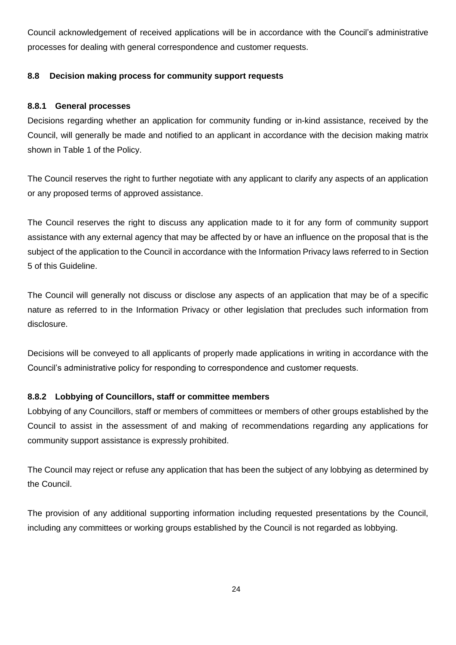Council acknowledgement of received applications will be in accordance with the Council's administrative processes for dealing with general correspondence and customer requests.

# **8.8 Decision making process for community support requests**

### **8.8.1 General processes**

Decisions regarding whether an application for community funding or in-kind assistance, received by the Council, will generally be made and notified to an applicant in accordance with the decision making matrix shown in Table 1 of the Policy.

The Council reserves the right to further negotiate with any applicant to clarify any aspects of an application or any proposed terms of approved assistance.

The Council reserves the right to discuss any application made to it for any form of community support assistance with any external agency that may be affected by or have an influence on the proposal that is the subject of the application to the Council in accordance with the Information Privacy laws referred to in Section [5](#page-0-0) of this Guideline.

The Council will generally not discuss or disclose any aspects of an application that may be of a specific nature as referred to in the Information Privacy or other legislation that precludes such information from disclosure.

Decisions will be conveyed to all applicants of properly made applications in writing in accordance with the Council's administrative policy for responding to correspondence and customer requests.

### **8.8.2 Lobbying of Councillors, staff or committee members**

Lobbying of any Councillors, staff or members of committees or members of other groups established by the Council to assist in the assessment of and making of recommendations regarding any applications for community support assistance is expressly prohibited.

The Council may reject or refuse any application that has been the subject of any lobbying as determined by the Council.

The provision of any additional supporting information including requested presentations by the Council, including any committees or working groups established by the Council is not regarded as lobbying.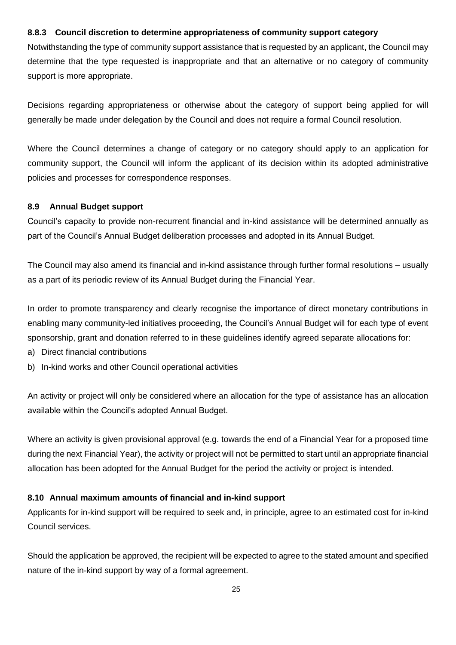# **8.8.3 Council discretion to determine appropriateness of community support category**

Notwithstanding the type of community support assistance that is requested by an applicant, the Council may determine that the type requested is inappropriate and that an alternative or no category of community support is more appropriate.

Decisions regarding appropriateness or otherwise about the category of support being applied for will generally be made under delegation by the Council and does not require a formal Council resolution.

Where the Council determines a change of category or no category should apply to an application for community support, the Council will inform the applicant of its decision within its adopted administrative policies and processes for correspondence responses.

# **8.9 Annual Budget support**

Council's capacity to provide non-recurrent financial and in-kind assistance will be determined annually as part of the Council's Annual Budget deliberation processes and adopted in its Annual Budget.

The Council may also amend its financial and in-kind assistance through further formal resolutions – usually as a part of its periodic review of its Annual Budget during the Financial Year.

In order to promote transparency and clearly recognise the importance of direct monetary contributions in enabling many community-led initiatives proceeding, the Council's Annual Budget will for each type of event sponsorship, grant and donation referred to in these guidelines identify agreed separate allocations for:

- a) Direct financial contributions
- b) In-kind works and other Council operational activities

An activity or project will only be considered where an allocation for the type of assistance has an allocation available within the Council's adopted Annual Budget.

Where an activity is given provisional approval (e.g. towards the end of a Financial Year for a proposed time during the next Financial Year), the activity or project will not be permitted to start until an appropriate financial allocation has been adopted for the Annual Budget for the period the activity or project is intended.

# <span id="page-24-0"></span>**8.10 Annual maximum amounts of financial and in-kind support**

Applicants for in-kind support will be required to seek and, in principle, agree to an estimated cost for in-kind Council services.

Should the application be approved, the recipient will be expected to agree to the stated amount and specified nature of the in-kind support by way of a formal agreement.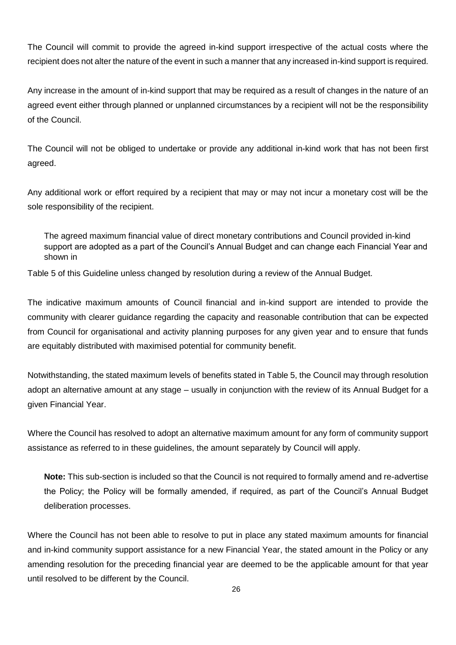The Council will commit to provide the agreed in-kind support irrespective of the actual costs where the recipient does not alter the nature of the event in such a manner that any increased in-kind support is required.

Any increase in the amount of in-kind support that may be required as a result of changes in the nature of an agreed event either through planned or unplanned circumstances by a recipient will not be the responsibility of the Council.

The Council will not be obliged to undertake or provide any additional in-kind work that has not been first agreed.

Any additional work or effort required by a recipient that may or may not incur a monetary cost will be the sole responsibility of the recipient.

The agreed maximum financial value of direct monetary contributions and Council provided in-kind support are adopted as a part of the Council's Annual Budget and can change each Financial Year and shown in

[Table](#page-26-0) 5 of this Guideline unless changed by resolution during a review of the Annual Budget.

The indicative maximum amounts of Council financial and in-kind support are intended to provide the community with clearer guidance regarding the capacity and reasonable contribution that can be expected from Council for organisational and activity planning purposes for any given year and to ensure that funds are equitably distributed with maximised potential for community benefit.

Notwithstanding, the stated maximum levels of benefits stated in Table 5, the Council may through resolution adopt an alternative amount at any stage – usually in conjunction with the review of its Annual Budget for a given Financial Year.

Where the Council has resolved to adopt an alternative maximum amount for any form of community support assistance as referred to in these guidelines, the amount separately by Council will apply.

**Note:** This sub-section is included so that the Council is not required to formally amend and re-advertise the Policy; the Policy will be formally amended, if required, as part of the Council's Annual Budget deliberation processes.

Where the Council has not been able to resolve to put in place any stated maximum amounts for financial and in-kind community support assistance for a new Financial Year, the stated amount in the Policy or any amending resolution for the preceding financial year are deemed to be the applicable amount for that year until resolved to be different by the Council.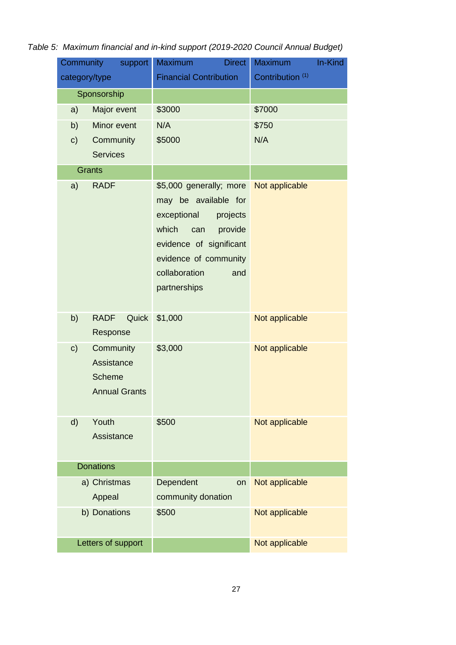<span id="page-26-0"></span>

| Table 5: Maximum financial and in-kind support (2019-2020 Council Annual Budget) |  |
|----------------------------------------------------------------------------------|--|
|----------------------------------------------------------------------------------|--|

| Community              | support                                                          | <b>Maximum</b><br><b>Direct</b>                                                                                                                                                                   | In-Kind<br><b>Maximum</b>   |
|------------------------|------------------------------------------------------------------|---------------------------------------------------------------------------------------------------------------------------------------------------------------------------------------------------|-----------------------------|
| category/type          |                                                                  | <b>Financial Contribution</b>                                                                                                                                                                     | Contribution <sup>(1)</sup> |
| Sponsorship            |                                                                  |                                                                                                                                                                                                   |                             |
| a)                     | Major event                                                      | \$3000                                                                                                                                                                                            | \$7000                      |
| b)                     | Minor event                                                      | N/A                                                                                                                                                                                               | \$750                       |
| c)                     | Community                                                        | \$5000                                                                                                                                                                                            | N/A                         |
|                        | <b>Services</b>                                                  |                                                                                                                                                                                                   |                             |
|                        | <b>Grants</b>                                                    |                                                                                                                                                                                                   |                             |
| a)                     | <b>RADF</b>                                                      | \$5,000 generally; more<br>may be available for<br>exceptional<br>projects<br>which<br>provide<br>can<br>evidence of significant<br>evidence of community<br>collaboration<br>and<br>partnerships | Not applicable              |
| b)                     | <b>RADF</b><br>Quick<br>Response                                 | \$1,000                                                                                                                                                                                           | Not applicable              |
| c)                     | Community<br>Assistance<br><b>Scheme</b><br><b>Annual Grants</b> | \$3,000                                                                                                                                                                                           | Not applicable              |
| d)                     | Youth<br>Assistance                                              | \$500                                                                                                                                                                                             | Not applicable              |
| <b>Donations</b>       |                                                                  |                                                                                                                                                                                                   |                             |
| a) Christmas<br>Appeal |                                                                  | Dependent<br>on<br>community donation                                                                                                                                                             | Not applicable              |
| b) Donations           |                                                                  | \$500                                                                                                                                                                                             | Not applicable              |
| Letters of support     |                                                                  |                                                                                                                                                                                                   | Not applicable              |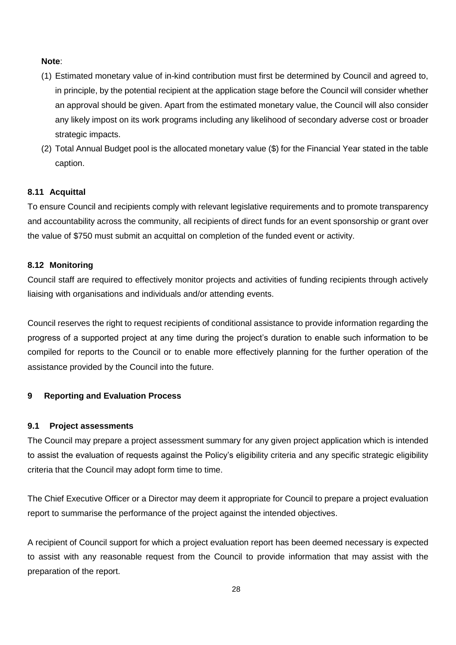### **Note**:

- (1) Estimated monetary value of in-kind contribution must first be determined by Council and agreed to, in principle, by the potential recipient at the application stage before the Council will consider whether an approval should be given. Apart from the estimated monetary value, the Council will also consider any likely impost on its work programs including any likelihood of secondary adverse cost or broader strategic impacts.
- (2) Total Annual Budget pool is the allocated monetary value (\$) for the Financial Year stated in the table caption.

### **8.11 Acquittal**

To ensure Council and recipients comply with relevant legislative requirements and to promote transparency and accountability across the community, all recipients of direct funds for an event sponsorship or grant over the value of \$750 must submit an acquittal on completion of the funded event or activity.

### **8.12 Monitoring**

Council staff are required to effectively monitor projects and activities of funding recipients through actively liaising with organisations and individuals and/or attending events.

Council reserves the right to request recipients of conditional assistance to provide information regarding the progress of a supported project at any time during the project's duration to enable such information to be compiled for reports to the Council or to enable more effectively planning for the further operation of the assistance provided by the Council into the future.

### **9 Reporting and Evaluation Process**

### **9.1 Project assessments**

The Council may prepare a project assessment summary for any given project application which is intended to assist the evaluation of requests against the Policy's eligibility criteria and any specific strategic eligibility criteria that the Council may adopt form time to time.

The Chief Executive Officer or a Director may deem it appropriate for Council to prepare a project evaluation report to summarise the performance of the project against the intended objectives.

A recipient of Council support for which a project evaluation report has been deemed necessary is expected to assist with any reasonable request from the Council to provide information that may assist with the preparation of the report.